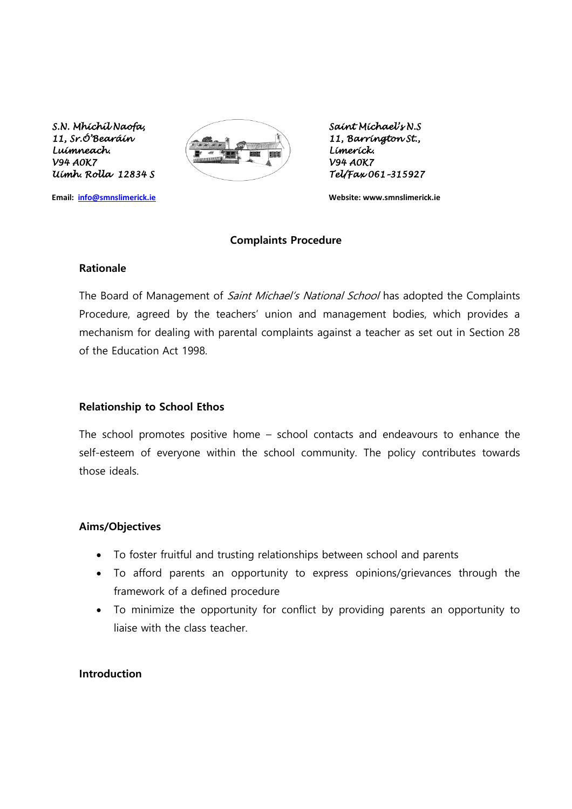*Uimh. Rolla 12834 S Tel/Fax 061–315927* 



**Email: [info@smnslimerick.ie](mailto:info@smnslimerick.ie) Website: www.smnslimerick.ie**

#### **Complaints Procedure**

#### **Rationale**

The Board of Management of *Saint Michael's National School* has adopted the Complaints Procedure, agreed by the teachers' union and management bodies, which provides a mechanism for dealing with parental complaints against a teacher as set out in Section 28 of the Education Act 1998.

#### **Relationship to School Ethos**

The school promotes positive home – school contacts and endeavours to enhance the self-esteem of everyone within the school community. The policy contributes towards those ideals.

#### **Aims/Objectives**

- To foster fruitful and trusting relationships between school and parents
- To afford parents an opportunity to express opinions/grievances through the framework of a defined procedure
- To minimize the opportunity for conflict by providing parents an opportunity to liaise with the class teacher.

## **Introduction**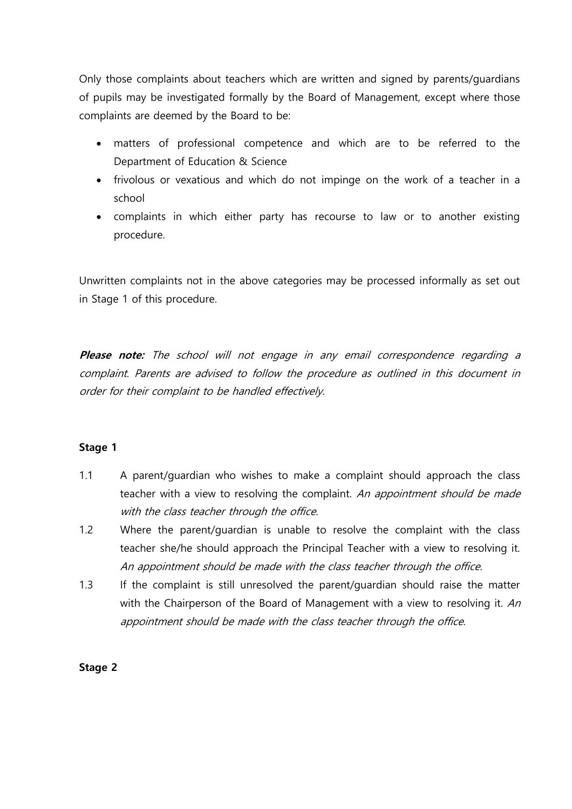Only those complaints about teachers which are written and signed by parents/guardians of pupils may be investigated formally by the Board of Management, except where those complaints are deemed by the Board to be:

- matters of professional competence and which are to be referred to the Department of Education & Science
- frivolous or vexatious and which do not impinge on the work of a teacher in a school
- complaints in which either party has recourse to law or to another existing procedure.

Unwritten complaints not in the above categories may be processed informally as set out in Stage 1 of this procedure.

**Please note:** The school will not engage in any email correspondence regarding a complaint. Parents are advised to follow the procedure as outlined in this document in order for their complaint to be handled effectively.

# **Stage 1**

- 1.1 A parent/guardian who wishes to make a complaint should approach the class teacher with a view to resolving the complaint. An appointment should be made with the class teacher through the office.
- 1.2 Where the parent/guardian is unable to resolve the complaint with the class teacher she/he should approach the Principal Teacher with a view to resolving it. An appointment should be made with the class teacher through the office.
- 1.3 If the complaint is still unresolved the parent/guardian should raise the matter with the Chairperson of the Board of Management with a view to resolving it. An appointment should be made with the class teacher through the office.

### **Stage 2**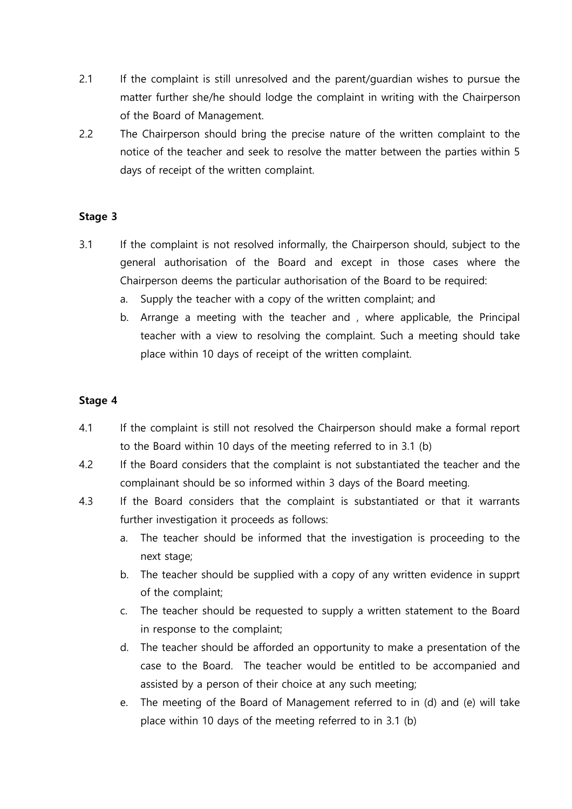- 2.1 If the complaint is still unresolved and the parent/quardian wishes to pursue the matter further she/he should lodge the complaint in writing with the Chairperson of the Board of Management.
- 2.2 The Chairperson should bring the precise nature of the written complaint to the notice of the teacher and seek to resolve the matter between the parties within 5 days of receipt of the written complaint.

## **Stage 3**

- 3.1 If the complaint is not resolved informally, the Chairperson should, subject to the general authorisation of the Board and except in those cases where the Chairperson deems the particular authorisation of the Board to be required:
	- a. Supply the teacher with a copy of the written complaint; and
	- b. Arrange a meeting with the teacher and , where applicable, the Principal teacher with a view to resolving the complaint. Such a meeting should take place within 10 days of receipt of the written complaint.

## **Stage 4**

- 4.1 If the complaint is still not resolved the Chairperson should make a formal report to the Board within 10 days of the meeting referred to in 3.1 (b)
- 4.2 If the Board considers that the complaint is not substantiated the teacher and the complainant should be so informed within 3 days of the Board meeting.
- 4.3 If the Board considers that the complaint is substantiated or that it warrants further investigation it proceeds as follows:
	- a. The teacher should be informed that the investigation is proceeding to the next stage;
	- b. The teacher should be supplied with a copy of any written evidence in supprt of the complaint;
	- c. The teacher should be requested to supply a written statement to the Board in response to the complaint;
	- d. The teacher should be afforded an opportunity to make a presentation of the case to the Board. The teacher would be entitled to be accompanied and assisted by a person of their choice at any such meeting;
	- e. The meeting of the Board of Management referred to in (d) and (e) will take place within 10 days of the meeting referred to in 3.1 (b)